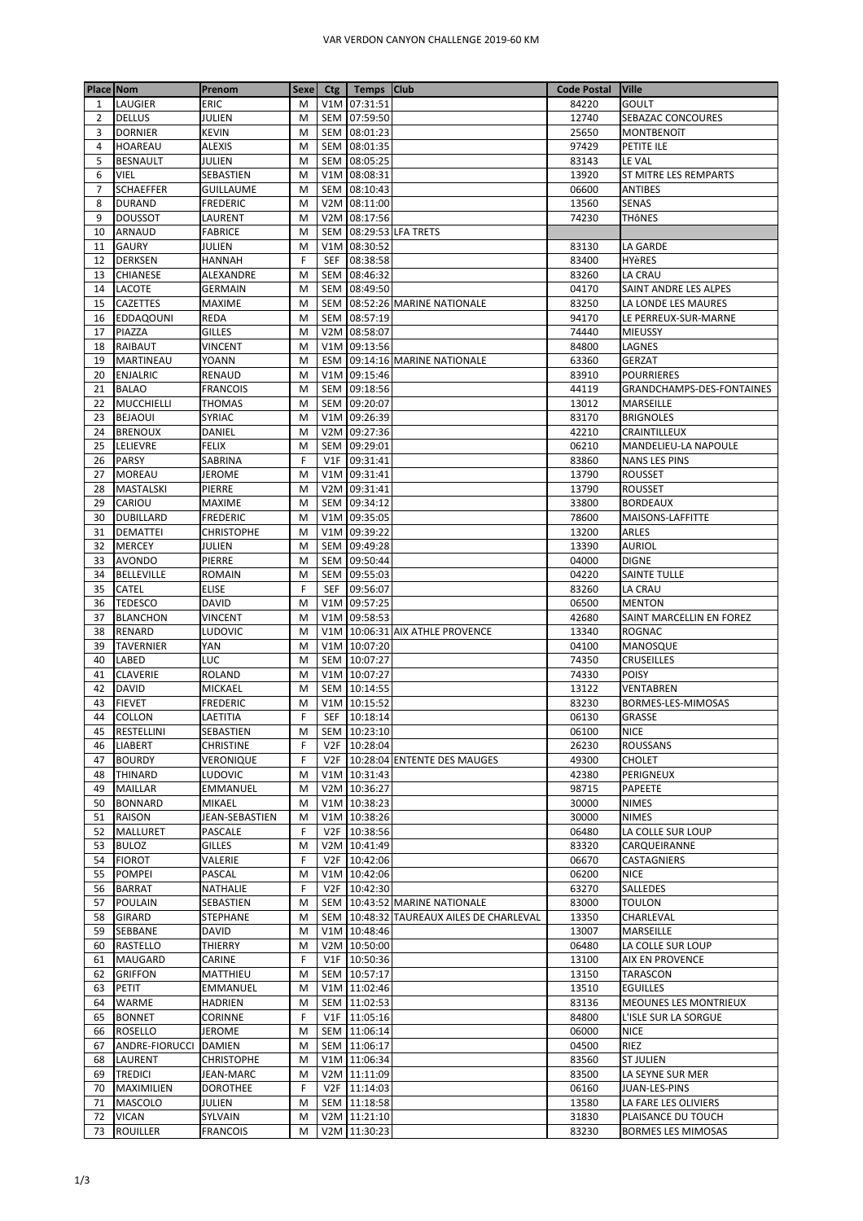| <b>Place Nom</b> |                                    | Prenom                  | <b>Sexe</b> |                  | Ctg   Temps   Club           |                                            | <b>Code Postal</b> | <b>Ville</b>                 |
|------------------|------------------------------------|-------------------------|-------------|------------------|------------------------------|--------------------------------------------|--------------------|------------------------------|
| 1                | LAUGIER                            | ERIC                    | M           |                  | V1M 07:31:51                 |                                            | 84220              | <b>GOULT</b>                 |
| $\overline{2}$   | <b>DELLUS</b>                      | JULIEN                  | M           | <b>SEM</b>       | 07:59:50                     |                                            | 12740              | SEBAZAC CONCOURES            |
| 3                | <b>DORNIER</b>                     | <b>KEVIN</b>            | M           |                  | SEM 08:01:23                 |                                            | 25650              | MONTBENOîT                   |
| 4                | <b>HOAREAU</b>                     | <b>ALEXIS</b>           | M           |                  | SEM 08:01:35                 |                                            | 97429              | PETITE ILE                   |
| 5                | <b>BESNAULT</b>                    | JULIEN                  | M           |                  | SEM 08:05:25                 |                                            | 83143              | LE VAL                       |
| 6                | VIEL                               | SEBASTIEN               | M           |                  | V1M 08:08:31                 |                                            | 13920              | ST MITRE LES REMPARTS        |
| $\overline{7}$   | <b>SCHAEFFER</b>                   | <b>GUILLAUME</b>        | M           |                  | SEM 08:10:43                 |                                            | 06600              | <b>ANTIBES</b>               |
| 8                | <b>DURAND</b>                      | FREDERIC                | M           |                  | V2M 08:11:00                 |                                            | 13560              | SENAS                        |
| 9                | <b>DOUSSOT</b>                     | LAURENT                 | M           |                  | V2M 08:17:56                 |                                            | 74230              | THÔNES                       |
| 10               | <b>ARNAUD</b><br><b>GAURY</b>      | FABRICE                 | M<br>M      | <b>SEM</b>       | V1M 08:30:52                 | 08:29:53 LFA TRETS                         |                    |                              |
| 11<br>12         | <b>DERKSEN</b>                     | JULIEN<br>HANNAH        | F           | <b>SEF</b>       | 08:38:58                     |                                            | 83130<br>83400     | LA GARDE<br><b>HYèRES</b>    |
| 13               | <b>CHIANESE</b>                    | ALEXANDRE               | M           |                  | SEM 08:46:32                 |                                            | 83260              | LA CRAU                      |
| 14               | LACOTE                             | GERMAIN                 | M           |                  | SEM 08:49:50                 |                                            | 04170              | SAINT ANDRE LES ALPES        |
| 15               | <b>CAZETTES</b>                    | MAXIME                  | M           |                  |                              | SEM 08:52:26 MARINE NATIONALE              | 83250              | LA LONDE LES MAURES          |
| 16               | <b>EDDAQOUNI</b>                   | REDA                    | M           | SEM              | 08:57:19                     |                                            | 94170              | LE PERREUX-SUR-MARNE         |
| 17               | PIAZZA                             | GILLES                  | M           | V <sub>2</sub> M | 08:58:07                     |                                            | 74440              | MIEUSSY                      |
| 18               | RAIBAUT                            | <b>VINCENT</b>          | M           | V1M              | 09:13:56                     |                                            | 84800              | LAGNES                       |
| 19               | <b>MARTINEAU</b>                   | YOANN                   | M           |                  |                              | ESM 09:14:16 MARINE NATIONALE              | 63360              | <b>GERZAT</b>                |
| 20               | <b>ENJALRIC</b>                    | RENAUD                  | M           |                  | V1M 09:15:46                 |                                            | 83910              | <b>POURRIERES</b>            |
| 21               | <b>BALAO</b>                       | <b>FRANCOIS</b>         | M           |                  | SEM 09:18:56                 |                                            | 44119              | GRANDCHAMPS-DES-FONTAINES    |
| 22               | MUCCHIELLI                         | THOMAS                  | M           |                  | SEM 09:20:07                 |                                            | 13012              | MARSEILLE                    |
| 23               | <b>BEJAOUI</b>                     | <b>SYRIAC</b>           | M           |                  | V1M 09:26:39                 |                                            | 83170              | <b>BRIGNOLES</b>             |
| 24               | <b>BRENOUX</b>                     | DANIEL                  | M           | V2M              | 09:27:36                     |                                            | 42210              | CRAINTILLEUX                 |
| 25               | LELIEVRE                           | FELIX                   | M           | <b>SEM</b>       | 09:29:01                     |                                            | 06210              | MANDELIEU-LA NAPOULE         |
| 26               | <b>PARSY</b>                       | SABRINA                 | F           |                  | V1F 09:31:41                 |                                            | 83860              | <b>NANS LES PINS</b>         |
| 27               | <b>MOREAU</b>                      | <b>JEROME</b>           | M           | V1M              | 09:31:41                     |                                            | 13790              | <b>ROUSSET</b>               |
| 28               | MASTALSKI                          | PIERRE                  | M           |                  | V2M 09:31:41                 |                                            | 13790              | ROUSSET                      |
| 29               | CARIOU                             | MAXIME                  | M           |                  | SEM 09:34:12                 |                                            | 33800              | <b>BORDEAUX</b>              |
| 30               | <b>DUBILLARD</b>                   | FREDERIC                | M           | V1M              | 09:35:05                     |                                            | 78600              | MAISONS-LAFFITTE             |
| 31               | DEMATTEI                           | <b>CHRISTOPHE</b>       | M           |                  | V1M 09:39:22                 |                                            | 13200              | ARLES                        |
| 32               | <b>MERCEY</b>                      | JULIEN                  | M           |                  | SEM 09:49:28                 |                                            | 13390              | <b>AURIOL</b>                |
| 33<br>34         | <b>AVONDO</b><br><b>BELLEVILLE</b> | PIERRE<br><b>ROMAIN</b> | M<br>M      |                  | SEM 09:50:44<br>SEM 09:55:03 |                                            | 04000<br>04220     | <b>DIGNE</b><br>SAINTE TULLE |
| 35               | CATEL                              | ELISE                   | F           | SEF              | 09:56:07                     |                                            | 83260              | LA CRAU                      |
| 36               | <b>TEDESCO</b>                     | <b>DAVID</b>            | M           |                  | V1M 09:57:25                 |                                            | 06500              | <b>MENTON</b>                |
| 37               | <b>BLANCHON</b>                    | VINCENT                 | M           |                  | V1M 09:58:53                 |                                            | 42680              | SAINT MARCELLIN EN FOREZ     |
| 38               | RENARD                             | LUDOVIC                 | M           |                  |                              | V1M 10:06:31 AIX ATHLE PROVENCE            | 13340              | <b>ROGNAC</b>                |
| 39               | <b>TAVERNIER</b>                   | YAN                     | M           |                  | V1M 10:07:20                 |                                            | 04100              | MANOSQUE                     |
| 40               | LABED                              | LUC                     | M           |                  | SEM 10:07:27                 |                                            | 74350              | CRUSEILLES                   |
| 41               | <b>CLAVERIE</b>                    | ROLAND                  | M           |                  | V1M 10:07:27                 |                                            | 74330              | <b>POISY</b>                 |
| 42               | <b>DAVID</b>                       | MICKAEL                 | M           |                  | SEM 10:14:55                 |                                            | 13122              | VENTABREN                    |
| 43               | <b>FIEVET</b>                      | FREDERIC                | M           |                  | V1M 10:15:52                 |                                            | 83230              | BORMES-LES-MIMOSAS           |
| 44               | <b>COLLON</b>                      | LAETITIA                | F           |                  | SEF 10:18:14                 |                                            | 06130              | <b>GRASSE</b>                |
| 45               | <b>RESTELLINI</b>                  | SEBASTIEN               | ${\sf M}$   |                  | SEM 10:23:10                 |                                            | 06100              | <b>NICE</b>                  |
| 46               | <b>LIABERT</b>                     | <b>CHRISTINE</b>        | F           |                  | V2F 10:28:04                 |                                            | 26230              | <b>ROUSSANS</b>              |
| 47               | <b>BOURDY</b>                      | VERONIQUE               | F           |                  |                              | V2F 10:28:04 ENTENTE DES MAUGES            | 49300              | CHOLET                       |
| 48               | <b>THINARD</b>                     | LUDOVIC                 | M           |                  | V1M 10:31:43                 |                                            | 42380              | PERIGNEUX                    |
| 49               | MAILLAR                            | EMMANUEL                | M           |                  | V2M 10:36:27                 |                                            | 98715              | PAPEETE                      |
| 50               | <b>BONNARD</b>                     | MIKAEL                  | M           |                  | V1M 10:38:23                 |                                            | 30000              | NIMES                        |
| 51               | RAISON                             | JEAN-SEBASTIEN          | M           |                  | V1M 10:38:26                 |                                            | 30000              | <b>NIMES</b>                 |
| 52               | MALLURET                           | PASCALE                 | F           |                  | V2F 10:38:56                 |                                            | 06480              | LA COLLE SUR LOUP            |
| 53               | <b>BULOZ</b>                       | <b>GILLES</b>           | M<br>F      |                  | V2M 10:41:49<br>V2F 10:42:06 |                                            | 83320              | CARQUEIRANNE<br>CASTAGNIERS  |
| 54<br>55         | <b>FIOROT</b><br><b>POMPEI</b>     | VALERIE<br>PASCAL       | M           |                  | V1M 10:42:06                 |                                            | 06670<br>06200     | <b>NICE</b>                  |
| 56               | <b>BARRAT</b>                      | NATHALIE                | F           |                  | V2F 10:42:30                 |                                            | 63270              | SALLEDES                     |
| 57               | POULAIN                            | SEBASTIEN               | M           |                  |                              | SEM 10:43:52 MARINE NATIONALE              | 83000              | TOULON                       |
| 58               | <b>GIRARD</b>                      | STEPHANE                | M           |                  |                              | SEM   10:48:32 TAUREAUX AILES DE CHARLEVAL | 13350              | CHARLEVAL                    |
| 59               | SEBBANE                            | DAVID                   | M           |                  | V1M 10:48:46                 |                                            | 13007              | MARSEILLE                    |
| 60               | <b>RASTELLO</b>                    | THIERRY                 | M           |                  | V2M 10:50:00                 |                                            | 06480              | LA COLLE SUR LOUP            |
| 61               | <b>MAUGARD</b>                     | CARINE                  | F           |                  | V1F 10:50:36                 |                                            | 13100              | AIX EN PROVENCE              |
| 62               | <b>GRIFFON</b>                     | MATTHIEU                | M           |                  | SEM 10:57:17                 |                                            | 13150              | TARASCON                     |
| 63               | PETIT                              | EMMANUEL                | M           |                  | V1M 11:02:46                 |                                            | 13510              | <b>EGUILLES</b>              |
| 64               | <b>WARME</b>                       | HADRIEN                 | M           |                  | SEM 11:02:53                 |                                            | 83136              | MEOUNES LES MONTRIEUX        |
| 65               | <b>BONNET</b>                      | CORINNE                 | F           |                  | V1F 11:05:16                 |                                            | 84800              | L'ISLE SUR LA SORGUE         |
| 66               | <b>ROSELLO</b>                     | JEROME                  | M           |                  | SEM 11:06:14                 |                                            | 06000              | <b>NICE</b>                  |
| 67               | ANDRE-FIORUCCI                     | <b>DAMIEN</b>           | M           |                  | SEM 11:06:17                 |                                            | 04500              | RIEZ                         |
| 68               | LAURENT                            | <b>CHRISTOPHE</b>       | M           |                  | V1M 11:06:34                 |                                            | 83560              | <b>ST JULIEN</b>             |
| 69               | <b>TREDICI</b>                     | JEAN-MARC               | M           |                  | V2M 11:11:09                 |                                            | 83500              | LA SEYNE SUR MER             |
| 70               | MAXIMILIEN                         | <b>DOROTHEE</b>         | F           |                  | V2F 11:14:03                 |                                            | 06160              | JUAN-LES-PINS                |
| 71               | <b>MASCOLO</b>                     | JULIEN                  | M           |                  | SEM 11:18:58                 |                                            | 13580              | LA FARE LES OLIVIERS         |
| 72               | <b>VICAN</b>                       | SYLVAIN                 | М           |                  | V2M 11:21:10                 |                                            | 31830              | PLAISANCE DU TOUCH           |
|                  | 73 ROUILLER                        | <b>FRANCOIS</b>         | М           |                  | V2M 11:30:23                 |                                            | 83230              | <b>BORMES LES MIMOSAS</b>    |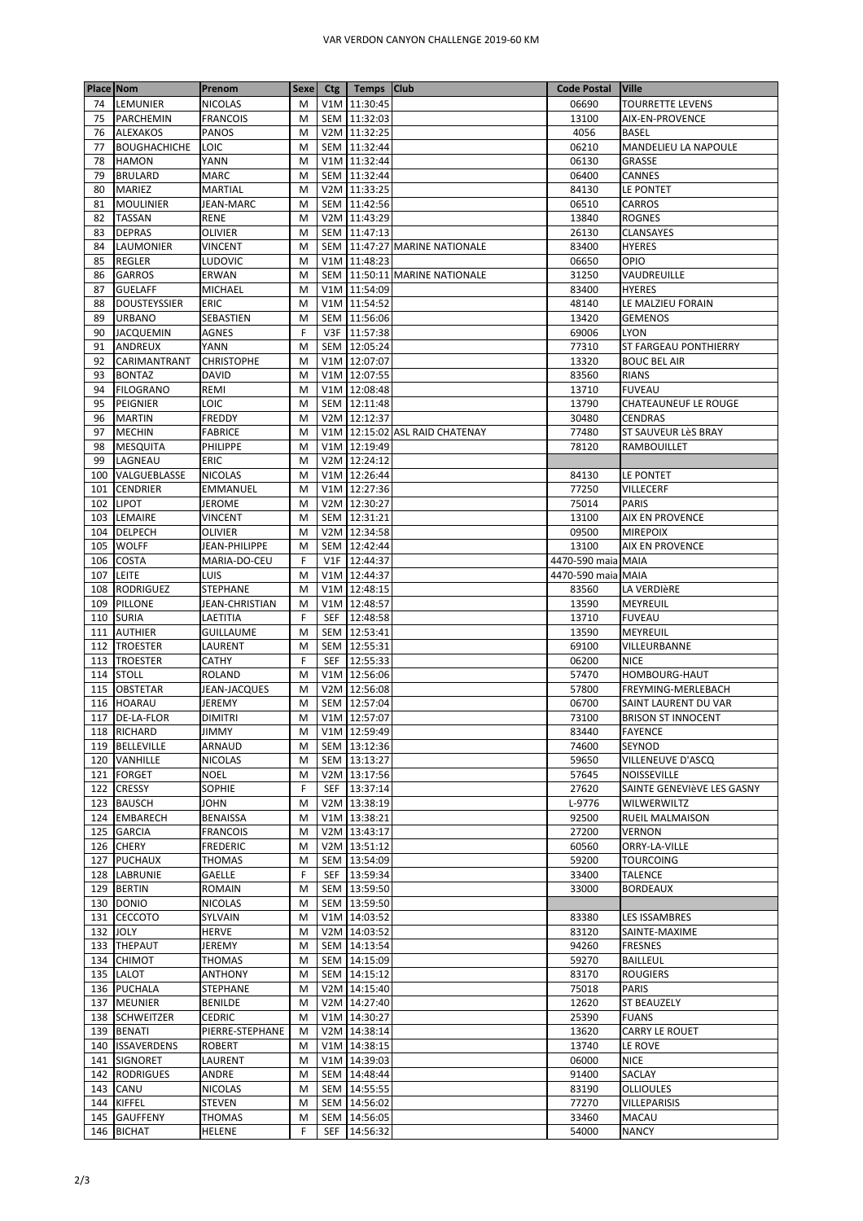| <b>Place Nom</b> |                                | Prenom                          | <b>Sexe</b> | Ctg   Temps   Club           |                                | <b>Code Postal</b> | <b>Ville</b>                                |
|------------------|--------------------------------|---------------------------------|-------------|------------------------------|--------------------------------|--------------------|---------------------------------------------|
| 74               | <b>LEMUNIER</b>                | <b>NICOLAS</b>                  | M           | V1M 11:30:45                 |                                | 06690              | <b>TOURRETTE LEVENS</b>                     |
| 75               | <b>PARCHEMIN</b>               | <b>FRANCOIS</b>                 | M           | SEM 11:32:03                 |                                | 13100              | AIX-EN-PROVENCE                             |
| 76               | <b>ALEXAKOS</b>                | <b>PANOS</b>                    | M           | V2M 11:32:25                 |                                | 4056               | <b>BASEL</b>                                |
| 77               | <b>BOUGHACHICHE</b>            | LOIC                            | M           | SEM 11:32:44                 |                                | 06210              | MANDELIEU LA NAPOULE                        |
| 78<br>79         | <b>HAMON</b><br><b>BRULARD</b> | YANN<br><b>MARC</b>             | M<br>M      | V1M 11:32:44<br>SEM 11:32:44 |                                | 06130<br>06400     | GRASSE<br>CANNES                            |
| 80               | <b>MARIEZ</b>                  | <b>MARTIAL</b>                  | M           | V2M 11:33:25                 |                                | 84130              | LE PONTET                                   |
| 81               | <b>MOULINIER</b>               | JEAN-MARC                       | M           | SEM 11:42:56                 |                                | 06510              | CARROS                                      |
| 82               | <b>TASSAN</b>                  | RENE                            | M           | V2M 11:43:29                 |                                | 13840              | <b>ROGNES</b>                               |
| 83               | <b>DEPRAS</b>                  | <b>OLIVIER</b>                  | M           | SEM 11:47:13                 |                                | 26130              | <b>CLANSAYES</b>                            |
| 84               | <b>LAUMONIER</b>               | <b>VINCENT</b>                  | M           |                              | SEM 11:47:27 MARINE NATIONALE  | 83400              | <b>HYERES</b>                               |
| 85               | <b>REGLER</b>                  | LUDOVIC                         | M           | V1M 11:48:23                 |                                | 06650              | OPIO                                        |
| 86               | <b>GARROS</b>                  | ERWAN                           | M           |                              | SEM 11:50:11 MARINE NATIONALE  | 31250              | VAUDREUILLE                                 |
| 87               | <b>GUELAFF</b>                 | <b>MICHAEL</b>                  | M           | V1M 11:54:09                 |                                | 83400              | <b>HYERES</b>                               |
| 88               | <b>DOUSTEYSSIER</b>            | <b>ERIC</b>                     | M           | V1M 11:54:52                 |                                | 48140              | LE MALZIEU FORAIN                           |
| 89               | <b>URBANO</b>                  | SEBASTIEN                       | M           | SEM 11:56:06                 |                                | 13420              | <b>GEMENOS</b>                              |
| 90<br>91         | <b>JACQUEMIN</b><br>ANDREUX    | AGNES<br>YANN                   | F<br>M      | V3F 11:57:38<br>SEM 12:05:24 |                                | 69006<br>77310     | <b>LYON</b><br><b>ST FARGEAU PONTHIERRY</b> |
| 92               | CARIMANTRANT                   | <b>CHRISTOPHE</b>               | M           | V1M 12:07:07                 |                                | 13320              | <b>BOUC BEL AIR</b>                         |
| 93               | <b>BONTAZ</b>                  | <b>DAVID</b>                    | M           | V1M 12:07:55                 |                                | 83560              | <b>RIANS</b>                                |
| 94               | <b>FILOGRANO</b>               | REMI                            | M           | V1M 12:08:48                 |                                | 13710              | <b>FUVEAU</b>                               |
| 95               | <b>PEIGNIER</b>                | LOIC                            | M           | SEM 12:11:48                 |                                | 13790              | <b>CHATEAUNEUF LE ROUGE</b>                 |
| 96               | <b>MARTIN</b>                  | <b>FREDDY</b>                   | M           | V2M 12:12:37                 |                                | 30480              | <b>CENDRAS</b>                              |
| 97               | <b>MECHIN</b>                  | <b>FABRICE</b>                  | M           |                              | V1M 12:15:02 ASL RAID CHATENAY | 77480              | ST SAUVEUR LèS BRAY                         |
| 98               | <b>MESQUITA</b>                | <b>PHILIPPE</b>                 | M           | V1M 12:19:49                 |                                | 78120              | <b>RAMBOUILLET</b>                          |
| 99               | LAGNEAU                        | <b>ERIC</b>                     | M           | V2M 12:24:12                 |                                |                    |                                             |
| 100              | VALGUEBLASSE                   | <b>NICOLAS</b>                  | M           | V1M 12:26:44                 |                                | 84130              | LE PONTET                                   |
| 101              | <b>CENDRIER</b>                | <b>EMMANUEL</b>                 | M           | V1M 12:27:36                 |                                | 77250              | <b>VILLECERF</b>                            |
|                  | 102 LIPOT                      | JEROME                          | M           | V2M 12:30:27                 |                                | 75014              | <b>PARIS</b>                                |
|                  | 103 LEMAIRE                    | VINCENT                         | M           | SEM 12:31:21                 |                                | 13100              | AIX EN PROVENCE                             |
|                  | 104 DELPECH                    | <b>OLIVIER</b><br>JEAN-PHILIPPE | M<br>M      | V2M 12:34:58<br>SEM 12:42:44 |                                | 09500<br>13100     | <b>MIREPOIX</b><br><b>AIX EN PROVENCE</b>   |
| 106              | 105 WOLFF<br><b>COSTA</b>      | MARIA-DO-CEU                    | F           | V1F 12:44:37                 |                                | 4470-590 maia MAIA |                                             |
| 107              | <b>LEITE</b>                   | LUIS                            | M           | V1M 12:44:37                 |                                | 4470-590 maia MAIA |                                             |
|                  | 108 RODRIGUEZ                  | <b>STEPHANE</b>                 | M           | V1M 12:48:15                 |                                | 83560              | LA VERDIÈRE                                 |
|                  | 109 PILLONE                    | JEAN-CHRISTIAN                  | M           | V1M 12:48:57                 |                                | 13590              | <b>MEYREUIL</b>                             |
|                  | 110 SURIA                      | LAETITIA                        | F           | SEF 12:48:58                 |                                | 13710              | <b>FUVEAU</b>                               |
| 111              | <b>AUTHIER</b>                 | <b>GUILLAUME</b>                | M           | SEM 12:53:41                 |                                | 13590              | <b>MEYREUIL</b>                             |
|                  | 112 TROESTER                   | LAURENT                         | M           | SEM 12:55:31                 |                                | 69100              | VILLEURBANNE                                |
| 113              | <b>TROESTER</b>                | <b>CATHY</b>                    | F           | SEF 12:55:33                 |                                | 06200              | <b>NICE</b>                                 |
| 114              | <b>STOLL</b>                   | <b>ROLAND</b>                   | M           | V1M 12:56:06                 |                                | 57470              | HOMBOURG-HAUT                               |
|                  | 115 OBSTETAR                   | JEAN-JACQUES                    | M           | V2M 12:56:08                 |                                | 57800              | FREYMING-MERLEBACH                          |
|                  | 116 HOARAU                     | JEREMY                          | M           | SEM 12:57:04                 |                                | 06700              | SAINT LAURENT DU VAR                        |
|                  | 117 DE-LA-FLOR                 | <b>DIMITRI</b>                  | M           | V1M 12:57:07                 |                                | 73100              | <b>BRISON ST INNOCENT</b>                   |
|                  | 118 RICHARD                    | <b>JIMMY</b>                    | M           | V1M 12:59:49                 |                                | 83440              | <b>FAYENCE</b>                              |
|                  | 119 BELLEVILLE                 | ARNAUD                          | М           | SEM 13:12:36                 |                                | 74600              | SEYNOD                                      |
|                  | 120 VANHILLE<br>121 FORGET     | <b>NICOLAS</b><br><b>NOEL</b>   | M<br>M      | SEM 13:13:27<br>V2M 13:17:56 |                                | 59650<br>57645     | VILLENEUVE D'ASCQ<br><b>NOISSEVILLE</b>     |
|                  | 122 CRESSY                     | <b>SOPHIE</b>                   | F           | SEF 13:37:14                 |                                | 27620              | SAINTE GENEVIÈVE LES GASNY                  |
|                  | 123 BAUSCH                     | JOHN                            | M           | V2M 13:38:19                 |                                | L-9776             | WILWERWILTZ                                 |
|                  | 124 EMBARECH                   | <b>BENAISSA</b>                 | M           | V1M 13:38:21                 |                                | 92500              | <b>RUEIL MALMAISON</b>                      |
|                  | 125 GARCIA                     | <b>FRANCOIS</b>                 | M           | V2M 13:43:17                 |                                | 27200              | <b>VERNON</b>                               |
|                  | 126 CHERY                      | <b>FREDERIC</b>                 | M           | V2M 13:51:12                 |                                | 60560              | ORRY-LA-VILLE                               |
|                  | 127 PUCHAUX                    | THOMAS                          | M           | SEM 13:54:09                 |                                | 59200              | <b>TOURCOING</b>                            |
|                  | 128 LABRUNIE                   | GAELLE                          | F           | SEF 13:59:34                 |                                | 33400              | <b>TALENCE</b>                              |
|                  | 129 BERTIN                     | ROMAIN                          | M           | SEM 13:59:50                 |                                | 33000              | <b>BORDEAUX</b>                             |
|                  | 130 DONIO                      | <b>NICOLAS</b>                  | M           | SEM 13:59:50                 |                                |                    |                                             |
|                  | 131 CECCOTO                    | SYLVAIN                         | M           | V1M 14:03:52                 |                                | 83380              | LES ISSAMBRES                               |
|                  | 132 JOLY                       | HERVE                           | M           | V2M 14:03:52                 |                                | 83120              | SAINTE-MAXIME                               |
|                  | 133 THEPAUT                    | JEREMY                          | M           | SEM 14:13:54                 |                                | 94260              | <b>FRESNES</b>                              |
|                  | 134 CHIMOT                     | THOMAS                          | м           | SEM 14:15:09                 |                                | 59270              | <b>BAILLEUL</b>                             |
|                  | 135 LALOT                      | <b>ANTHONY</b>                  | M           | SEM 14:15:12                 |                                | 83170              | <b>ROUGIERS</b><br>PARIS                    |
|                  | 136 PUCHALA<br>137 MEUNIER     | STEPHANE<br><b>BENILDE</b>      | M<br>M      | V2M 14:15:40<br>V2M 14:27:40 |                                | 75018<br>12620     | <b>ST BEAUZELY</b>                          |
|                  | 138 SCHWEITZER                 | <b>CEDRIC</b>                   | M           | V1M 14:30:27                 |                                | 25390              | <b>FUANS</b>                                |
|                  | 139 BENATI                     | PIERRE-STEPHANE                 | M           | V2M 14:38:14                 |                                | 13620              | CARRY LE ROUET                              |
|                  | 140 ISSAVERDENS                | <b>ROBERT</b>                   | M           | V1M 14:38:15                 |                                | 13740              | LE ROVE                                     |
|                  | 141 SIGNORET                   | LAURENT                         | M           | V1M 14:39:03                 |                                | 06000              | <b>NICE</b>                                 |
|                  | 142 RODRIGUES                  | ANDRE                           | M           | SEM 14:48:44                 |                                | 91400              | SACLAY                                      |
|                  | 143 CANU                       | <b>NICOLAS</b>                  | M           | SEM 14:55:55                 |                                | 83190              | <b>OLLIOULES</b>                            |
|                  | 144 KIFFEL                     | STEVEN                          | M           | SEM 14:56:02                 |                                | 77270              | <b>VILLEPARISIS</b>                         |
|                  | 145 GAUFFENY                   | THOMAS                          | M           | SEM 14:56:05                 |                                | 33460              | <b>MACAU</b>                                |
|                  | 146 BICHAT                     | HELENE                          | F           | SEF 14:56:32                 |                                | 54000              | <b>NANCY</b>                                |